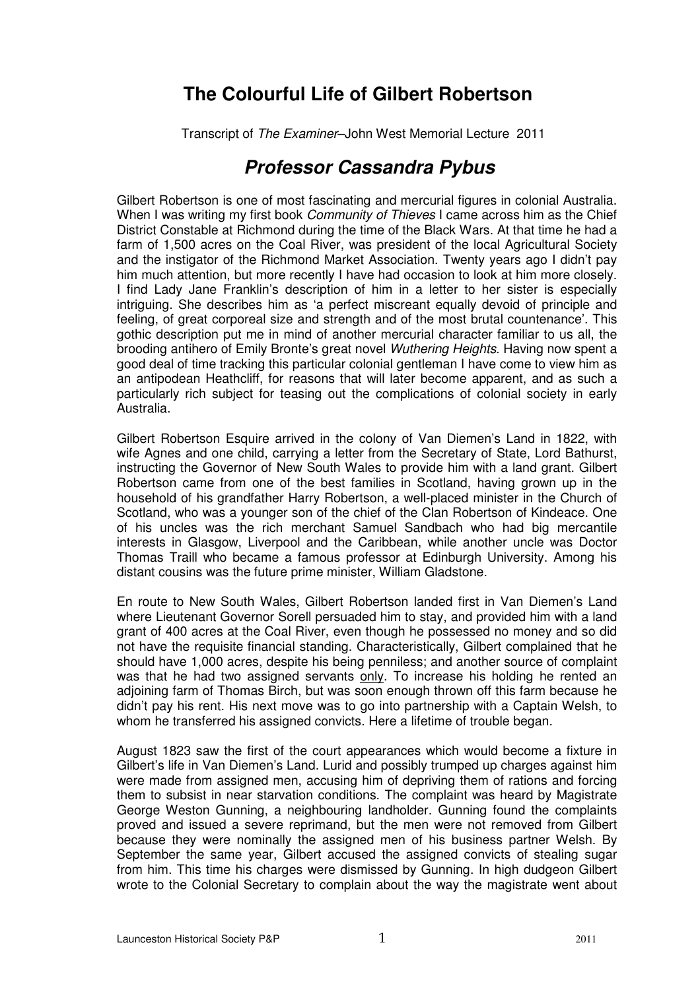## **The Colourful Life of Gilbert Robertson**

Transcript of The Examiner–John West Memorial Lecture 2011

## **Professor Cassandra Pybus**

Gilbert Robertson is one of most fascinating and mercurial figures in colonial Australia. When I was writing my first book *Community of Thieves* I came across him as the Chief District Constable at Richmond during the time of the Black Wars. At that time he had a farm of 1,500 acres on the Coal River, was president of the local Agricultural Society and the instigator of the Richmond Market Association. Twenty years ago I didn't pay him much attention, but more recently I have had occasion to look at him more closely. I find Lady Jane Franklin's description of him in a letter to her sister is especially intriguing. She describes him as 'a perfect miscreant equally devoid of principle and feeling, of great corporeal size and strength and of the most brutal countenance'. This gothic description put me in mind of another mercurial character familiar to us all, the brooding antihero of Emily Bronte's great novel Wuthering Heights. Having now spent a good deal of time tracking this particular colonial gentleman I have come to view him as an antipodean Heathcliff, for reasons that will later become apparent, and as such a particularly rich subject for teasing out the complications of colonial society in early Australia.

Gilbert Robertson Esquire arrived in the colony of Van Diemen's Land in 1822, with wife Agnes and one child, carrying a letter from the Secretary of State, Lord Bathurst, instructing the Governor of New South Wales to provide him with a land grant. Gilbert Robertson came from one of the best families in Scotland, having grown up in the household of his grandfather Harry Robertson, a well-placed minister in the Church of Scotland, who was a younger son of the chief of the Clan Robertson of Kindeace. One of his uncles was the rich merchant Samuel Sandbach who had big mercantile interests in Glasgow, Liverpool and the Caribbean, while another uncle was Doctor Thomas Traill who became a famous professor at Edinburgh University. Among his distant cousins was the future prime minister, William Gladstone.

En route to New South Wales, Gilbert Robertson landed first in Van Diemen's Land where Lieutenant Governor Sorell persuaded him to stay, and provided him with a land grant of 400 acres at the Coal River, even though he possessed no money and so did not have the requisite financial standing. Characteristically, Gilbert complained that he should have 1,000 acres, despite his being penniless; and another source of complaint was that he had two assigned servants only. To increase his holding he rented an adjoining farm of Thomas Birch, but was soon enough thrown off this farm because he didn't pay his rent. His next move was to go into partnership with a Captain Welsh, to whom he transferred his assigned convicts. Here a lifetime of trouble began.

August 1823 saw the first of the court appearances which would become a fixture in Gilbert's life in Van Diemen's Land. Lurid and possibly trumped up charges against him were made from assigned men, accusing him of depriving them of rations and forcing them to subsist in near starvation conditions. The complaint was heard by Magistrate George Weston Gunning, a neighbouring landholder. Gunning found the complaints proved and issued a severe reprimand, but the men were not removed from Gilbert because they were nominally the assigned men of his business partner Welsh. By September the same year, Gilbert accused the assigned convicts of stealing sugar from him. This time his charges were dismissed by Gunning. In high dudgeon Gilbert wrote to the Colonial Secretary to complain about the way the magistrate went about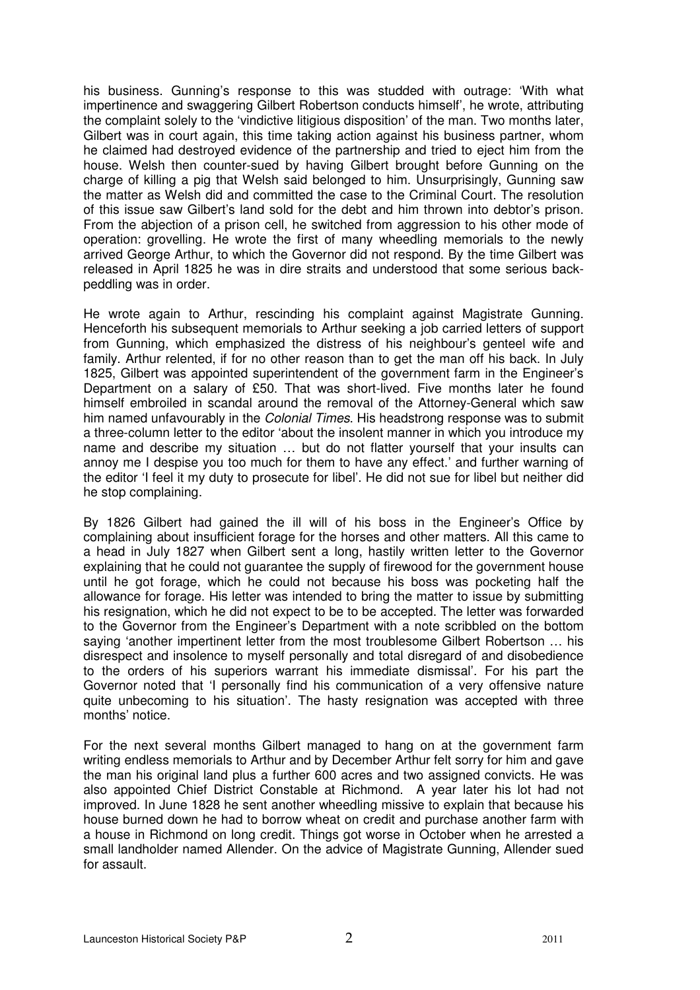his business. Gunning's response to this was studded with outrage: 'With what impertinence and swaggering Gilbert Robertson conducts himself', he wrote, attributing the complaint solely to the 'vindictive litigious disposition' of the man. Two months later, Gilbert was in court again, this time taking action against his business partner, whom he claimed had destroyed evidence of the partnership and tried to eject him from the house. Welsh then counter-sued by having Gilbert brought before Gunning on the charge of killing a pig that Welsh said belonged to him. Unsurprisingly, Gunning saw the matter as Welsh did and committed the case to the Criminal Court. The resolution of this issue saw Gilbert's land sold for the debt and him thrown into debtor's prison. From the abjection of a prison cell, he switched from aggression to his other mode of operation: grovelling. He wrote the first of many wheedling memorials to the newly arrived George Arthur, to which the Governor did not respond. By the time Gilbert was released in April 1825 he was in dire straits and understood that some serious backpeddling was in order.

He wrote again to Arthur, rescinding his complaint against Magistrate Gunning. Henceforth his subsequent memorials to Arthur seeking a job carried letters of support from Gunning, which emphasized the distress of his neighbour's genteel wife and family. Arthur relented, if for no other reason than to get the man off his back. In July 1825, Gilbert was appointed superintendent of the government farm in the Engineer's Department on a salary of £50. That was short-lived. Five months later he found himself embroiled in scandal around the removal of the Attorney-General which saw him named unfavourably in the Colonial Times. His headstrong response was to submit a three-column letter to the editor 'about the insolent manner in which you introduce my name and describe my situation … but do not flatter yourself that your insults can annoy me I despise you too much for them to have any effect.' and further warning of the editor 'I feel it my duty to prosecute for libel'. He did not sue for libel but neither did he stop complaining.

By 1826 Gilbert had gained the ill will of his boss in the Engineer's Office by complaining about insufficient forage for the horses and other matters. All this came to a head in July 1827 when Gilbert sent a long, hastily written letter to the Governor explaining that he could not guarantee the supply of firewood for the government house until he got forage, which he could not because his boss was pocketing half the allowance for forage. His letter was intended to bring the matter to issue by submitting his resignation, which he did not expect to be to be accepted. The letter was forwarded to the Governor from the Engineer's Department with a note scribbled on the bottom saying 'another impertinent letter from the most troublesome Gilbert Robertson … his disrespect and insolence to myself personally and total disregard of and disobedience to the orders of his superiors warrant his immediate dismissal'. For his part the Governor noted that 'I personally find his communication of a very offensive nature quite unbecoming to his situation'. The hasty resignation was accepted with three months' notice.

For the next several months Gilbert managed to hang on at the government farm writing endless memorials to Arthur and by December Arthur felt sorry for him and gave the man his original land plus a further 600 acres and two assigned convicts. He was also appointed Chief District Constable at Richmond. A year later his lot had not improved. In June 1828 he sent another wheedling missive to explain that because his house burned down he had to borrow wheat on credit and purchase another farm with a house in Richmond on long credit. Things got worse in October when he arrested a small landholder named Allender. On the advice of Magistrate Gunning, Allender sued for assault.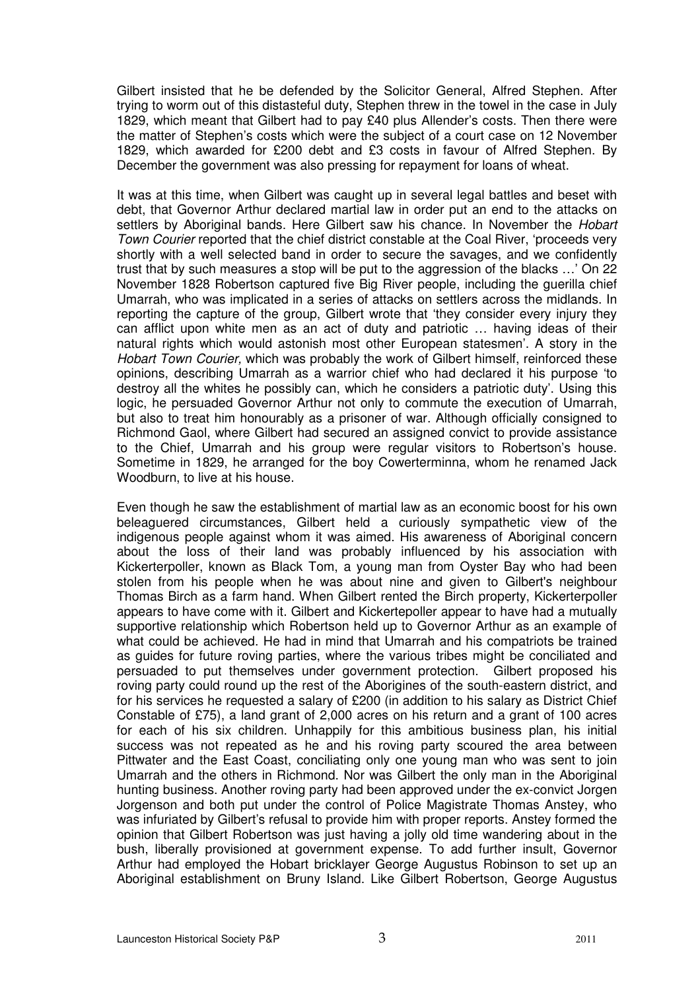Gilbert insisted that he be defended by the Solicitor General, Alfred Stephen. After trying to worm out of this distasteful duty, Stephen threw in the towel in the case in July 1829, which meant that Gilbert had to pay £40 plus Allender's costs. Then there were the matter of Stephen's costs which were the subject of a court case on 12 November 1829, which awarded for £200 debt and £3 costs in favour of Alfred Stephen. By December the government was also pressing for repayment for loans of wheat.

It was at this time, when Gilbert was caught up in several legal battles and beset with debt, that Governor Arthur declared martial law in order put an end to the attacks on settlers by Aboriginal bands. Here Gilbert saw his chance. In November the Hobart Town Courier reported that the chief district constable at the Coal River, 'proceeds very shortly with a well selected band in order to secure the savages, and we confidently trust that by such measures a stop will be put to the aggression of the blacks …' On 22 November 1828 Robertson captured five Big River people, including the guerilla chief Umarrah, who was implicated in a series of attacks on settlers across the midlands. In reporting the capture of the group, Gilbert wrote that 'they consider every injury they can afflict upon white men as an act of duty and patriotic … having ideas of their natural rights which would astonish most other European statesmen'. A story in the Hobart Town Courier, which was probably the work of Gilbert himself, reinforced these opinions, describing Umarrah as a warrior chief who had declared it his purpose 'to destroy all the whites he possibly can, which he considers a patriotic duty'. Using this logic, he persuaded Governor Arthur not only to commute the execution of Umarrah, but also to treat him honourably as a prisoner of war. Although officially consigned to Richmond Gaol, where Gilbert had secured an assigned convict to provide assistance to the Chief, Umarrah and his group were regular visitors to Robertson's house. Sometime in 1829, he arranged for the boy Cowerterminna, whom he renamed Jack Woodburn, to live at his house.

Even though he saw the establishment of martial law as an economic boost for his own beleaguered circumstances, Gilbert held a curiously sympathetic view of the indigenous people against whom it was aimed. His awareness of Aboriginal concern about the loss of their land was probably influenced by his association with Kickerterpoller, known as Black Tom, a young man from Oyster Bay who had been stolen from his people when he was about nine and given to Gilbert's neighbour Thomas Birch as a farm hand. When Gilbert rented the Birch property, Kickerterpoller appears to have come with it. Gilbert and Kickertepoller appear to have had a mutually supportive relationship which Robertson held up to Governor Arthur as an example of what could be achieved. He had in mind that Umarrah and his compatriots be trained as guides for future roving parties, where the various tribes might be conciliated and persuaded to put themselves under government protection. Gilbert proposed his roving party could round up the rest of the Aborigines of the south-eastern district, and for his services he requested a salary of £200 (in addition to his salary as District Chief Constable of £75), a land grant of 2,000 acres on his return and a grant of 100 acres for each of his six children. Unhappily for this ambitious business plan, his initial success was not repeated as he and his roving party scoured the area between Pittwater and the East Coast, conciliating only one young man who was sent to join Umarrah and the others in Richmond. Nor was Gilbert the only man in the Aboriginal hunting business. Another roving party had been approved under the ex-convict Jorgen Jorgenson and both put under the control of Police Magistrate Thomas Anstey, who was infuriated by Gilbert's refusal to provide him with proper reports. Anstey formed the opinion that Gilbert Robertson was just having a jolly old time wandering about in the bush, liberally provisioned at government expense. To add further insult, Governor Arthur had employed the Hobart bricklayer George Augustus Robinson to set up an Aboriginal establishment on Bruny Island. Like Gilbert Robertson, George Augustus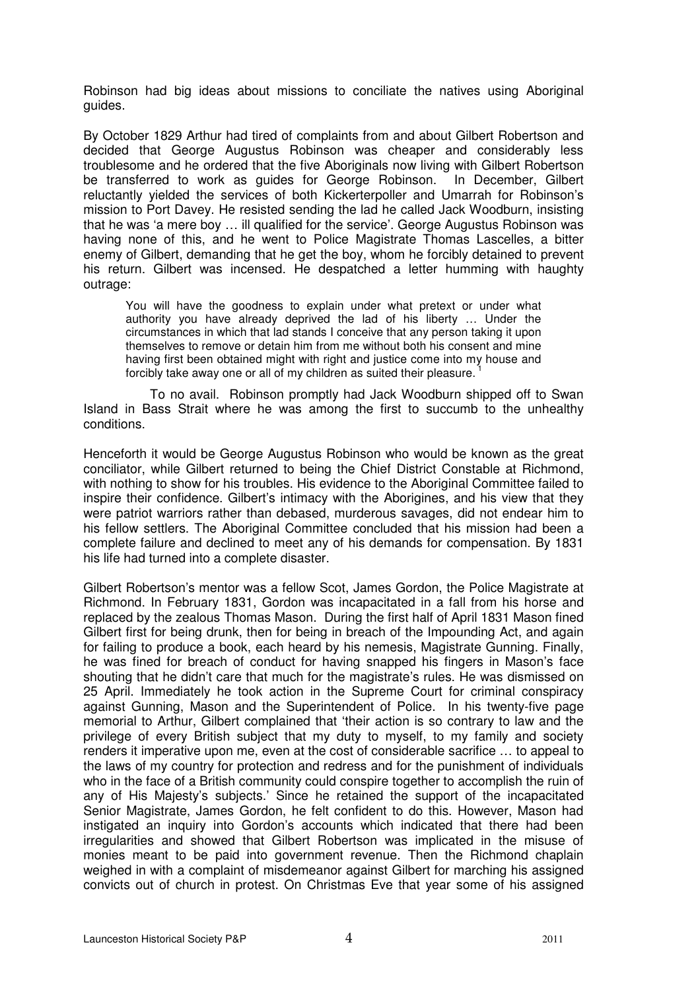Robinson had big ideas about missions to conciliate the natives using Aboriginal guides.

By October 1829 Arthur had tired of complaints from and about Gilbert Robertson and decided that George Augustus Robinson was cheaper and considerably less troublesome and he ordered that the five Aboriginals now living with Gilbert Robertson be transferred to work as guides for George Robinson. In December, Gilbert reluctantly yielded the services of both Kickerterpoller and Umarrah for Robinson's mission to Port Davey. He resisted sending the lad he called Jack Woodburn, insisting that he was 'a mere boy … ill qualified for the service'. George Augustus Robinson was having none of this, and he went to Police Magistrate Thomas Lascelles, a bitter enemy of Gilbert, demanding that he get the boy, whom he forcibly detained to prevent his return. Gilbert was incensed. He despatched a letter humming with haughty outrage:

You will have the goodness to explain under what pretext or under what authority you have already deprived the lad of his liberty … Under the circumstances in which that lad stands I conceive that any person taking it upon themselves to remove or detain him from me without both his consent and mine having first been obtained might with right and justice come into my house and forcibly take away one or all of my children as suited their pleasure.

To no avail. Robinson promptly had Jack Woodburn shipped off to Swan Island in Bass Strait where he was among the first to succumb to the unhealthy conditions.

Henceforth it would be George Augustus Robinson who would be known as the great conciliator, while Gilbert returned to being the Chief District Constable at Richmond, with nothing to show for his troubles. His evidence to the Aboriginal Committee failed to inspire their confidence. Gilbert's intimacy with the Aborigines, and his view that they were patriot warriors rather than debased, murderous savages, did not endear him to his fellow settlers. The Aboriginal Committee concluded that his mission had been a complete failure and declined to meet any of his demands for compensation. By 1831 his life had turned into a complete disaster.

Gilbert Robertson's mentor was a fellow Scot, James Gordon, the Police Magistrate at Richmond. In February 1831, Gordon was incapacitated in a fall from his horse and replaced by the zealous Thomas Mason. During the first half of April 1831 Mason fined Gilbert first for being drunk, then for being in breach of the Impounding Act, and again for failing to produce a book, each heard by his nemesis, Magistrate Gunning. Finally, he was fined for breach of conduct for having snapped his fingers in Mason's face shouting that he didn't care that much for the magistrate's rules. He was dismissed on 25 April. Immediately he took action in the Supreme Court for criminal conspiracy against Gunning, Mason and the Superintendent of Police. In his twenty-five page memorial to Arthur, Gilbert complained that 'their action is so contrary to law and the privilege of every British subject that my duty to myself, to my family and society renders it imperative upon me, even at the cost of considerable sacrifice … to appeal to the laws of my country for protection and redress and for the punishment of individuals who in the face of a British community could conspire together to accomplish the ruin of any of His Majesty's subjects.' Since he retained the support of the incapacitated Senior Magistrate, James Gordon, he felt confident to do this. However, Mason had instigated an inquiry into Gordon's accounts which indicated that there had been irregularities and showed that Gilbert Robertson was implicated in the misuse of monies meant to be paid into government revenue. Then the Richmond chaplain weighed in with a complaint of misdemeanor against Gilbert for marching his assigned convicts out of church in protest. On Christmas Eve that year some of his assigned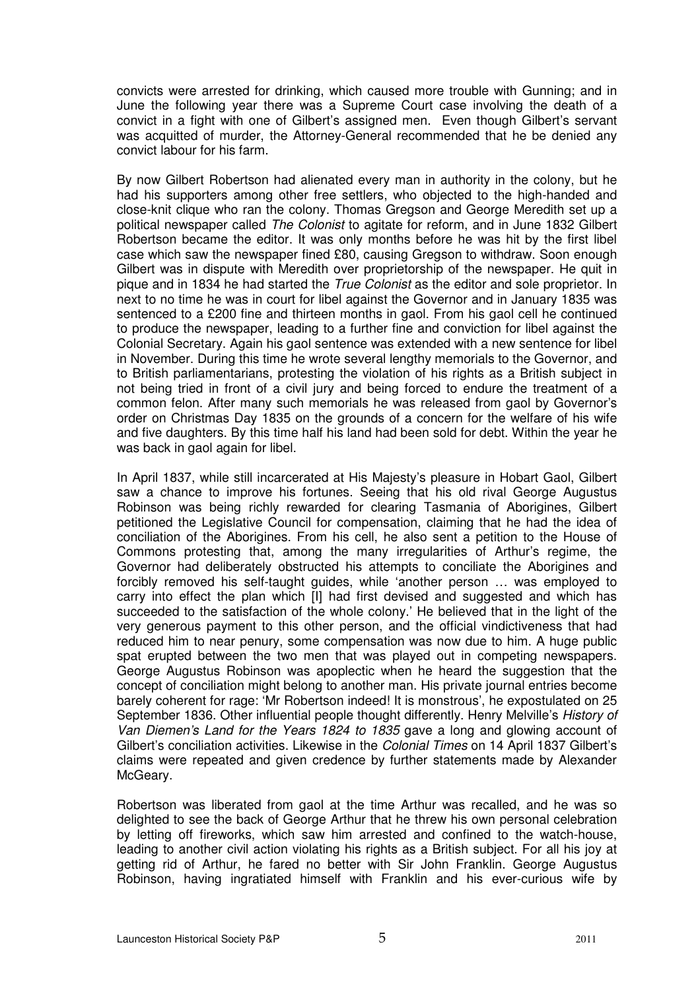convicts were arrested for drinking, which caused more trouble with Gunning; and in June the following year there was a Supreme Court case involving the death of a convict in a fight with one of Gilbert's assigned men. Even though Gilbert's servant was acquitted of murder, the Attorney-General recommended that he be denied any convict labour for his farm.

By now Gilbert Robertson had alienated every man in authority in the colony, but he had his supporters among other free settlers, who objected to the high-handed and close-knit clique who ran the colony. Thomas Gregson and George Meredith set up a political newspaper called The Colonist to agitate for reform, and in June 1832 Gilbert Robertson became the editor. It was only months before he was hit by the first libel case which saw the newspaper fined £80, causing Gregson to withdraw. Soon enough Gilbert was in dispute with Meredith over proprietorship of the newspaper. He quit in pique and in 1834 he had started the *True Colonist* as the editor and sole proprietor. In next to no time he was in court for libel against the Governor and in January 1835 was sentenced to a £200 fine and thirteen months in gaol. From his gaol cell he continued to produce the newspaper, leading to a further fine and conviction for libel against the Colonial Secretary. Again his gaol sentence was extended with a new sentence for libel in November. During this time he wrote several lengthy memorials to the Governor, and to British parliamentarians, protesting the violation of his rights as a British subject in not being tried in front of a civil jury and being forced to endure the treatment of a common felon. After many such memorials he was released from gaol by Governor's order on Christmas Day 1835 on the grounds of a concern for the welfare of his wife and five daughters. By this time half his land had been sold for debt. Within the year he was back in gaol again for libel.

In April 1837, while still incarcerated at His Majesty's pleasure in Hobart Gaol, Gilbert saw a chance to improve his fortunes. Seeing that his old rival George Augustus Robinson was being richly rewarded for clearing Tasmania of Aborigines, Gilbert petitioned the Legislative Council for compensation, claiming that he had the idea of conciliation of the Aborigines. From his cell, he also sent a petition to the House of Commons protesting that, among the many irregularities of Arthur's regime, the Governor had deliberately obstructed his attempts to conciliate the Aborigines and forcibly removed his self-taught guides, while 'another person … was employed to carry into effect the plan which [I] had first devised and suggested and which has succeeded to the satisfaction of the whole colony.' He believed that in the light of the very generous payment to this other person, and the official vindictiveness that had reduced him to near penury, some compensation was now due to him. A huge public spat erupted between the two men that was played out in competing newspapers. George Augustus Robinson was apoplectic when he heard the suggestion that the concept of conciliation might belong to another man. His private journal entries become barely coherent for rage: 'Mr Robertson indeed! It is monstrous', he expostulated on 25 September 1836. Other influential people thought differently. Henry Melville's History of Van Diemen's Land for the Years 1824 to 1835 gave a long and glowing account of Gilbert's conciliation activities. Likewise in the Colonial Times on 14 April 1837 Gilbert's claims were repeated and given credence by further statements made by Alexander McGearv.

Robertson was liberated from gaol at the time Arthur was recalled, and he was so delighted to see the back of George Arthur that he threw his own personal celebration by letting off fireworks, which saw him arrested and confined to the watch-house, leading to another civil action violating his rights as a British subject. For all his joy at getting rid of Arthur, he fared no better with Sir John Franklin. George Augustus Robinson, having ingratiated himself with Franklin and his ever-curious wife by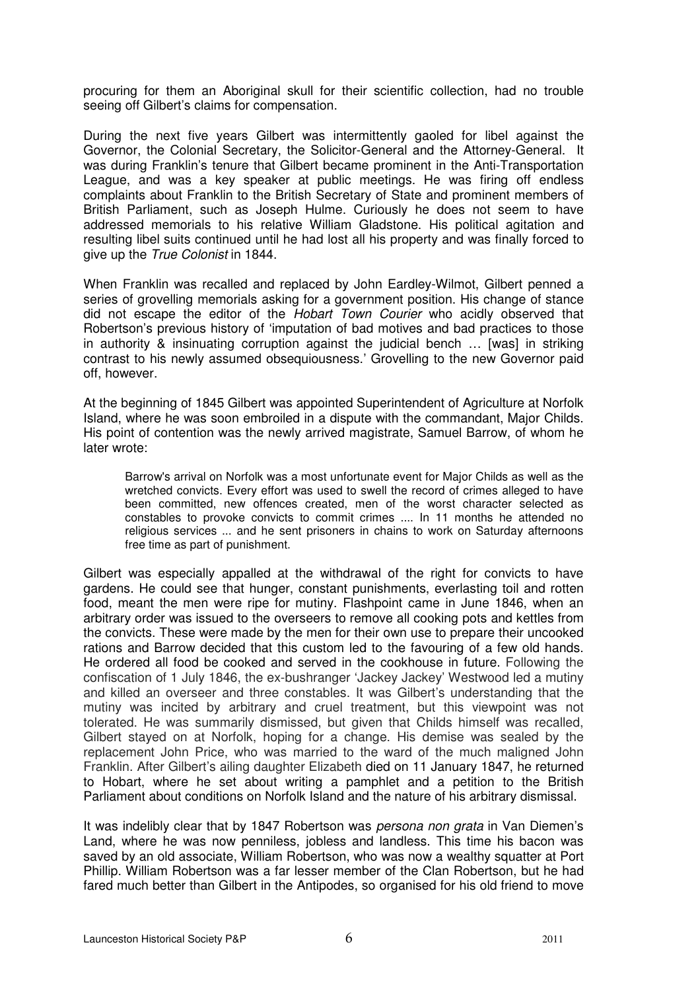procuring for them an Aboriginal skull for their scientific collection, had no trouble seeing off Gilbert's claims for compensation.

During the next five years Gilbert was intermittently gaoled for libel against the Governor, the Colonial Secretary, the Solicitor-General and the Attorney-General. It was during Franklin's tenure that Gilbert became prominent in the Anti-Transportation League, and was a key speaker at public meetings. He was firing off endless complaints about Franklin to the British Secretary of State and prominent members of British Parliament, such as Joseph Hulme. Curiously he does not seem to have addressed memorials to his relative William Gladstone. His political agitation and resulting libel suits continued until he had lost all his property and was finally forced to give up the True Colonist in 1844.

When Franklin was recalled and replaced by John Eardley-Wilmot, Gilbert penned a series of grovelling memorials asking for a government position. His change of stance did not escape the editor of the *Hobart Town Courier* who acidly observed that Robertson's previous history of 'imputation of bad motives and bad practices to those in authority & insinuating corruption against the judicial bench … [was] in striking contrast to his newly assumed obsequiousness.' Grovelling to the new Governor paid off, however.

At the beginning of 1845 Gilbert was appointed Superintendent of Agriculture at Norfolk Island, where he was soon embroiled in a dispute with the commandant, Major Childs. His point of contention was the newly arrived magistrate, Samuel Barrow, of whom he later wrote:

Barrow's arrival on Norfolk was a most unfortunate event for Major Childs as well as the wretched convicts. Every effort was used to swell the record of crimes alleged to have been committed, new offences created, men of the worst character selected as constables to provoke convicts to commit crimes .... In 11 months he attended no religious services ... and he sent prisoners in chains to work on Saturday afternoons free time as part of punishment.

Gilbert was especially appalled at the withdrawal of the right for convicts to have gardens. He could see that hunger, constant punishments, everlasting toil and rotten food, meant the men were ripe for mutiny. Flashpoint came in June 1846, when an arbitrary order was issued to the overseers to remove all cooking pots and kettles from the convicts. These were made by the men for their own use to prepare their uncooked rations and Barrow decided that this custom led to the favouring of a few old hands. He ordered all food be cooked and served in the cookhouse in future. Following the confiscation of 1 July 1846, the ex-bushranger 'Jackey Jackey' Westwood led a mutiny and killed an overseer and three constables. It was Gilbert's understanding that the mutiny was incited by arbitrary and cruel treatment, but this viewpoint was not tolerated. He was summarily dismissed, but given that Childs himself was recalled, Gilbert stayed on at Norfolk, hoping for a change. His demise was sealed by the replacement John Price, who was married to the ward of the much maligned John Franklin. After Gilbert's ailing daughter Elizabeth died on 11 January 1847, he returned to Hobart, where he set about writing a pamphlet and a petition to the British Parliament about conditions on Norfolk Island and the nature of his arbitrary dismissal.

It was indelibly clear that by 1847 Robertson was *persona non grata* in Van Diemen's Land, where he was now penniless, jobless and landless. This time his bacon was saved by an old associate, William Robertson, who was now a wealthy squatter at Port Phillip. William Robertson was a far lesser member of the Clan Robertson, but he had fared much better than Gilbert in the Antipodes, so organised for his old friend to move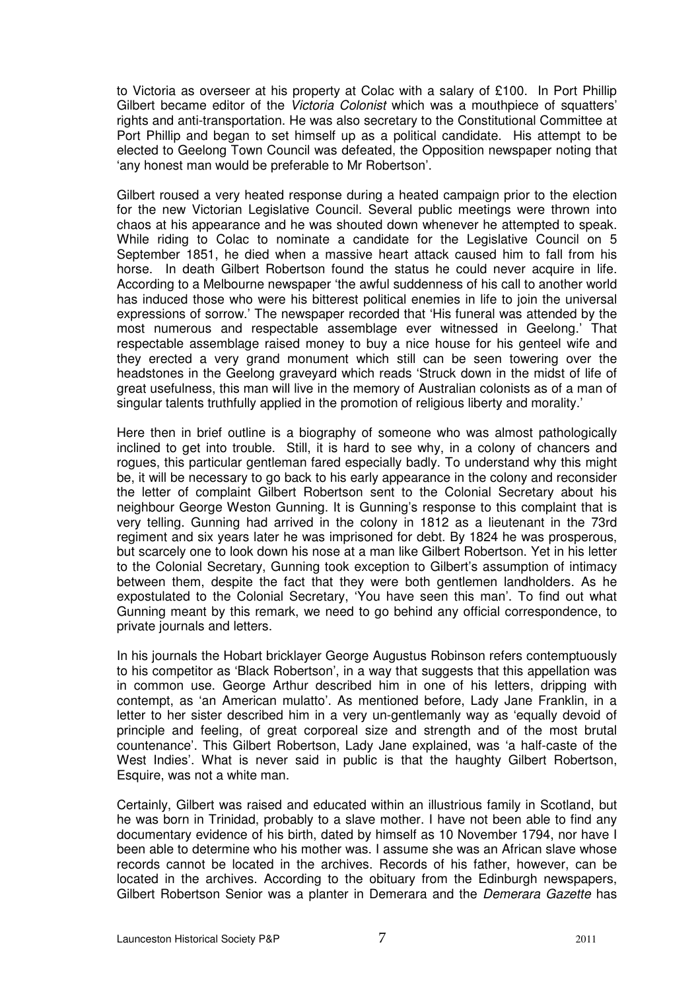to Victoria as overseer at his property at Colac with a salary of £100. In Port Phillip Gilbert became editor of the *Victoria Colonist* which was a mouthpiece of squatters' rights and anti-transportation. He was also secretary to the Constitutional Committee at Port Phillip and began to set himself up as a political candidate. His attempt to be elected to Geelong Town Council was defeated, the Opposition newspaper noting that 'any honest man would be preferable to Mr Robertson'.

Gilbert roused a very heated response during a heated campaign prior to the election for the new Victorian Legislative Council. Several public meetings were thrown into chaos at his appearance and he was shouted down whenever he attempted to speak. While riding to Colac to nominate a candidate for the Legislative Council on 5 September 1851, he died when a massive heart attack caused him to fall from his horse. In death Gilbert Robertson found the status he could never acquire in life. According to a Melbourne newspaper 'the awful suddenness of his call to another world has induced those who were his bitterest political enemies in life to join the universal expressions of sorrow.' The newspaper recorded that 'His funeral was attended by the most numerous and respectable assemblage ever witnessed in Geelong.' That respectable assemblage raised money to buy a nice house for his genteel wife and they erected a very grand monument which still can be seen towering over the headstones in the Geelong graveyard which reads 'Struck down in the midst of life of great usefulness, this man will live in the memory of Australian colonists as of a man of singular talents truthfully applied in the promotion of religious liberty and morality.'

Here then in brief outline is a biography of someone who was almost pathologically inclined to get into trouble. Still, it is hard to see why, in a colony of chancers and rogues, this particular gentleman fared especially badly. To understand why this might be, it will be necessary to go back to his early appearance in the colony and reconsider the letter of complaint Gilbert Robertson sent to the Colonial Secretary about his neighbour George Weston Gunning. It is Gunning's response to this complaint that is very telling. Gunning had arrived in the colony in 1812 as a lieutenant in the 73rd regiment and six years later he was imprisoned for debt. By 1824 he was prosperous, but scarcely one to look down his nose at a man like Gilbert Robertson. Yet in his letter to the Colonial Secretary, Gunning took exception to Gilbert's assumption of intimacy between them, despite the fact that they were both gentlemen landholders. As he expostulated to the Colonial Secretary, 'You have seen this man'. To find out what Gunning meant by this remark, we need to go behind any official correspondence, to private journals and letters.

In his journals the Hobart bricklayer George Augustus Robinson refers contemptuously to his competitor as 'Black Robertson', in a way that suggests that this appellation was in common use. George Arthur described him in one of his letters, dripping with contempt, as 'an American mulatto'. As mentioned before, Lady Jane Franklin, in a letter to her sister described him in a very un-gentlemanly way as 'equally devoid of principle and feeling, of great corporeal size and strength and of the most brutal countenance'. This Gilbert Robertson, Lady Jane explained, was 'a half-caste of the West Indies'. What is never said in public is that the haughty Gilbert Robertson, Esquire, was not a white man.

Certainly, Gilbert was raised and educated within an illustrious family in Scotland, but he was born in Trinidad, probably to a slave mother. I have not been able to find any documentary evidence of his birth, dated by himself as 10 November 1794, nor have I been able to determine who his mother was. I assume she was an African slave whose records cannot be located in the archives. Records of his father, however, can be located in the archives. According to the obituary from the Edinburgh newspapers, Gilbert Robertson Senior was a planter in Demerara and the *Demerara Gazette* has